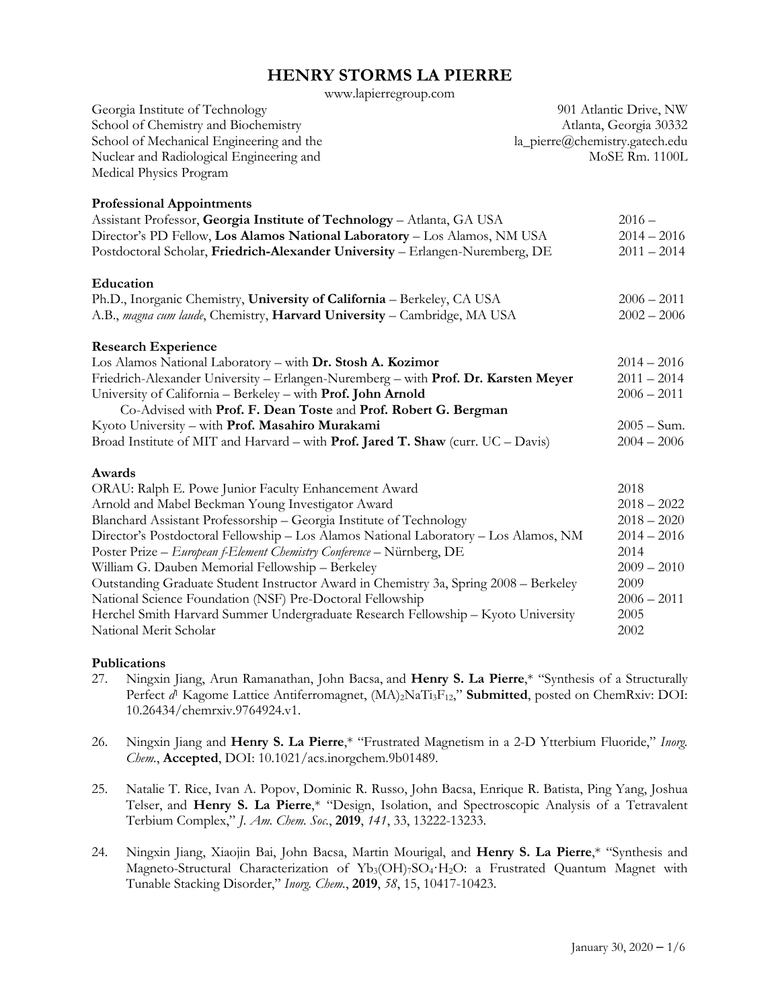www.lapierregroup.com

| Georgia Institute of Technology<br>School of Chemistry and Biochemistry<br>School of Mechanical Engineering and the<br>Nuclear and Radiological Engineering and<br>Medical Physics Program | 901 Atlantic Drive, NW<br>Atlanta, Georgia 30332<br>la_pierre@chemistry.gatech.edu<br>MoSE Rm. 1100L |
|--------------------------------------------------------------------------------------------------------------------------------------------------------------------------------------------|------------------------------------------------------------------------------------------------------|
| <b>Professional Appointments</b><br>Assistant Professor, Georgia Institute of Technology - Atlanta, GA USA                                                                                 | $2016 -$                                                                                             |
| Director's PD Fellow, Los Alamos National Laboratory - Los Alamos, NM USA<br>Postdoctoral Scholar, Friedrich-Alexander University - Erlangen-Nuremberg, DE                                 | $2014 - 2016$<br>$2011 - 2014$                                                                       |
| Education                                                                                                                                                                                  |                                                                                                      |
| Ph.D., Inorganic Chemistry, University of California - Berkeley, CA USA<br>A.B., magna cum laude, Chemistry, Harvard University - Cambridge, MA USA                                        | $2006 - 2011$<br>$2002 - 2006$                                                                       |
| <b>Research Experience</b>                                                                                                                                                                 |                                                                                                      |
| Los Alamos National Laboratory - with Dr. Stosh A. Kozimor                                                                                                                                 | $2014 - 2016$                                                                                        |
| Friedrich-Alexander University - Erlangen-Nuremberg - with Prof. Dr. Karsten Meyer                                                                                                         | $2011 - 2014$                                                                                        |
| University of California - Berkeley - with Prof. John Arnold                                                                                                                               | $2006 - 2011$                                                                                        |
| Co-Advised with Prof. F. Dean Toste and Prof. Robert G. Bergman                                                                                                                            |                                                                                                      |
| Kyoto University - with Prof. Masahiro Murakami                                                                                                                                            | $2005 - Sum.$                                                                                        |
| Broad Institute of MIT and Harvard - with Prof. Jared T. Shaw (curr. UC - Davis)                                                                                                           | $2004 - 2006$                                                                                        |
| Awards                                                                                                                                                                                     |                                                                                                      |
| ORAU: Ralph E. Powe Junior Faculty Enhancement Award                                                                                                                                       | 2018                                                                                                 |
| Arnold and Mabel Beckman Young Investigator Award                                                                                                                                          | $2018 - 2022$                                                                                        |
| Blanchard Assistant Professorship - Georgia Institute of Technology                                                                                                                        | $2018 - 2020$                                                                                        |
| Director's Postdoctoral Fellowship - Los Alamos National Laboratory - Los Alamos, NM                                                                                                       | $2014 - 2016$                                                                                        |
| Poster Prize - European f-Element Chemistry Conference - Nürnberg, DE                                                                                                                      | 2014                                                                                                 |
| William G. Dauben Memorial Fellowship - Berkeley                                                                                                                                           | $2009 - 2010$                                                                                        |
| Outstanding Graduate Student Instructor Award in Chemistry 3a, Spring 2008 - Berkeley                                                                                                      | 2009                                                                                                 |
| National Science Foundation (NSF) Pre-Doctoral Fellowship                                                                                                                                  | $2006 - 2011$                                                                                        |
| Herchel Smith Harvard Summer Undergraduate Research Fellowship - Kyoto University                                                                                                          | 2005                                                                                                 |
| National Merit Scholar                                                                                                                                                                     | 2002                                                                                                 |

#### **Publications**

- 27. Ningxin Jiang, Arun Ramanathan, John Bacsa, and **Henry S. La Pierre**,\* "Synthesis of a Structurally Perfect *d*<sup>1</sup> Kagome Lattice Antiferromagnet, (MA)<sub>2</sub>NaTi<sub>3</sub>F<sub>12</sub>," **Submitted**, posted on ChemRxiv: DOI: 10.26434/chemrxiv.9764924.v1.
- 26. Ningxin Jiang and **Henry S. La Pierre**,\* "Frustrated Magnetism in a 2-D Ytterbium Fluoride," *Inorg. Chem.*, **Accepted**, DOI: 10.1021/acs.inorgchem.9b01489.
- 25. Natalie T. Rice, Ivan A. Popov, Dominic R. Russo, John Bacsa, Enrique R. Batista, Ping Yang, Joshua Telser, and **Henry S. La Pierre**,\* "Design, Isolation, and Spectroscopic Analysis of a Tetravalent Terbium Complex," *J. Am. Chem. Soc.*, **2019**, *141*, 33, 13222-13233.
- 24. Ningxin Jiang, Xiaojin Bai, John Bacsa, Martin Mourigal, and **Henry S. La Pierre**,\* "Synthesis and Magneto-Structural Characterization of Yb<sub>3</sub>(OH)7SO<sub>4</sub>·H<sub>2</sub>O: a Frustrated Quantum Magnet with Tunable Stacking Disorder," *Inorg. Chem.*, **2019**, *58*, 15, 10417-10423.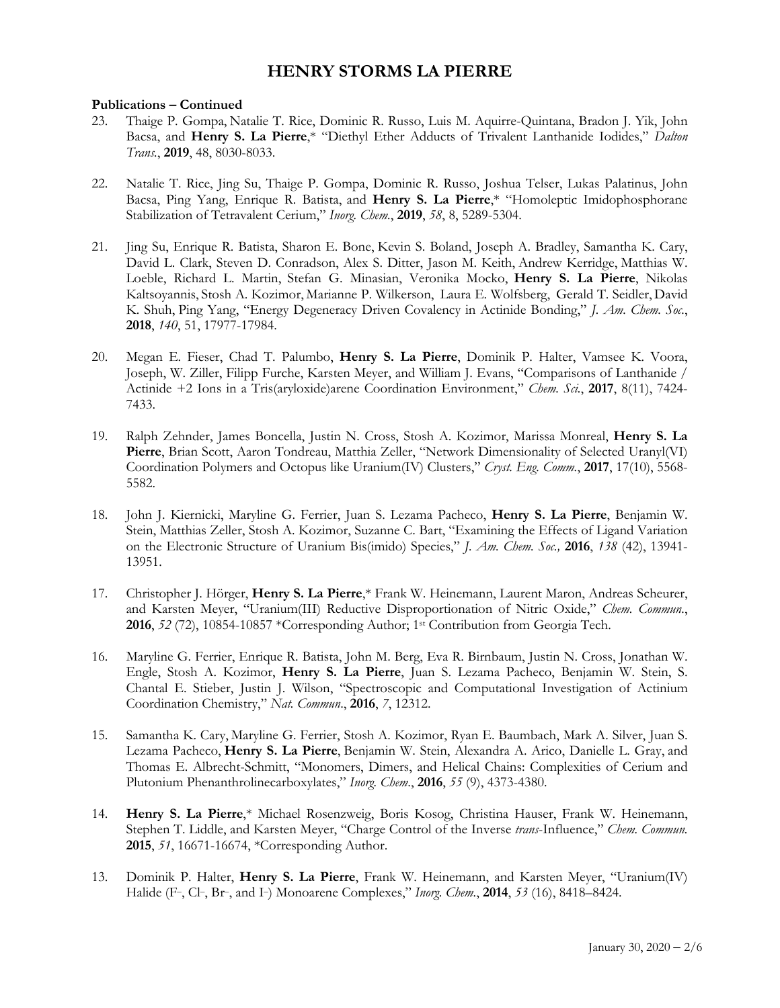#### **Publications – Continued**

- 23. Thaige P. Gompa, Natalie T. Rice, Dominic R. Russo, Luis M. Aquirre-Quintana, Bradon J. Yik, John Bacsa, and **Henry S. La Pierre**,\* "Diethyl Ether Adducts of Trivalent Lanthanide Iodides," *Dalton Trans.*, **2019**, 48, 8030-8033.
- 22. Natalie T. Rice, Jing Su, Thaige P. Gompa, Dominic R. Russo, Joshua Telser, Lukas Palatinus, John Bacsa, Ping Yang, Enrique R. Batista, and **Henry S. La Pierre**,\* "Homoleptic Imidophosphorane Stabilization of Tetravalent Cerium," *Inorg. Chem.*, **2019**, *58*, 8, 5289-5304.
- 21. Jing Su, Enrique R. Batista, Sharon E. Bone, Kevin S. Boland, Joseph A. Bradley, Samantha K. Cary, David L. Clark, Steven D. Conradson, Alex S. Ditter, Jason M. Keith, Andrew Kerridge, Matthias W. Loeble, Richard L. Martin, Stefan G. Minasian, Veronika Mocko, **Henry S. La Pierre**, Nikolas Kaltsoyannis, Stosh A. Kozimor, Marianne P. Wilkerson, Laura E. Wolfsberg, Gerald T. Seidler, David K. Shuh, Ping Yang, "Energy Degeneracy Driven Covalency in Actinide Bonding," *J. Am. Chem. Soc.*, **2018**, *140*, 51, 17977-17984.
- 20. Megan E. Fieser, Chad T. Palumbo, **Henry S. La Pierre**, Dominik P. Halter, Vamsee K. Voora, Joseph, W. Ziller, Filipp Furche, Karsten Meyer, and William J. Evans, "Comparisons of Lanthanide / Actinide +2 Ions in a Tris(aryloxide)arene Coordination Environment," *Chem. Sci.*, **2017**, 8(11), 7424- 7433.
- 19. Ralph Zehnder, James Boncella, Justin N. Cross, Stosh A. Kozimor, Marissa Monreal, **Henry S. La Pierre**, Brian Scott, Aaron Tondreau, Matthia Zeller, "Network Dimensionality of Selected Uranyl(VI) Coordination Polymers and Octopus like Uranium(IV) Clusters," *Cryst. Eng. Comm.*, **2017**, 17(10), 5568- 5582.
- 18. John J. Kiernicki, Maryline G. Ferrier, Juan S. Lezama Pacheco, **Henry S. La Pierre**, Benjamin W. Stein, Matthias Zeller, Stosh A. Kozimor, Suzanne C. Bart, "Examining the Effects of Ligand Variation on the Electronic Structure of Uranium Bis(imido) Species," *J. Am. Chem. Soc.,* **2016**, *138* (42), 13941- 13951.
- 17. Christopher J. Hörger, **Henry S. La Pierre**,\* Frank W. Heinemann, Laurent Maron, Andreas Scheurer, and Karsten Meyer, "Uranium(III) Reductive Disproportionation of Nitric Oxide," *Chem. Commun.*, **2016**, *52* (72), 10854-10857 \*Corresponding Author; 1st Contribution from Georgia Tech.
- 16. Maryline G. Ferrier, Enrique R. Batista, John M. Berg, Eva R. Birnbaum, Justin N. Cross, Jonathan W. Engle, Stosh A. Kozimor, **Henry S. La Pierre**, Juan S. Lezama Pacheco, Benjamin W. Stein, S. Chantal E. Stieber, Justin J. Wilson, "Spectroscopic and Computational Investigation of Actinium Coordination Chemistry," *Nat. Commun*., **2016**, *7*, 12312.
- 15. Samantha K. Cary, Maryline G. Ferrier, Stosh A. Kozimor, Ryan E. Baumbach, Mark A. Silver, Juan S. Lezama Pacheco, **Henry S. La Pierre**, Benjamin W. Stein, Alexandra A. Arico, Danielle L. Gray, and Thomas E. Albrecht-Schmitt, "Monomers, Dimers, and Helical Chains: Complexities of Cerium and Plutonium Phenanthrolinecarboxylates," *Inorg. Chem*., **2016**, *55* (9), 4373-4380.
- 14. **Henry S. La Pierre**,\* Michael Rosenzweig, Boris Kosog, Christina Hauser, Frank W. Heinemann, Stephen T. Liddle, and Karsten Meyer, "Charge Control of the Inverse *trans*-Influence," *Chem. Commun.* **2015**, *51*, 16671-16674, \*Corresponding Author.
- 13. Dominik P. Halter, **Henry S. La Pierre**, Frank W. Heinemann, and Karsten Meyer, "Uranium(IV) Halide (F–, Cl–, Br–, and I–) Monoarene Complexes," *Inorg. Chem.*, **2014**, *53* (16), 8418–8424.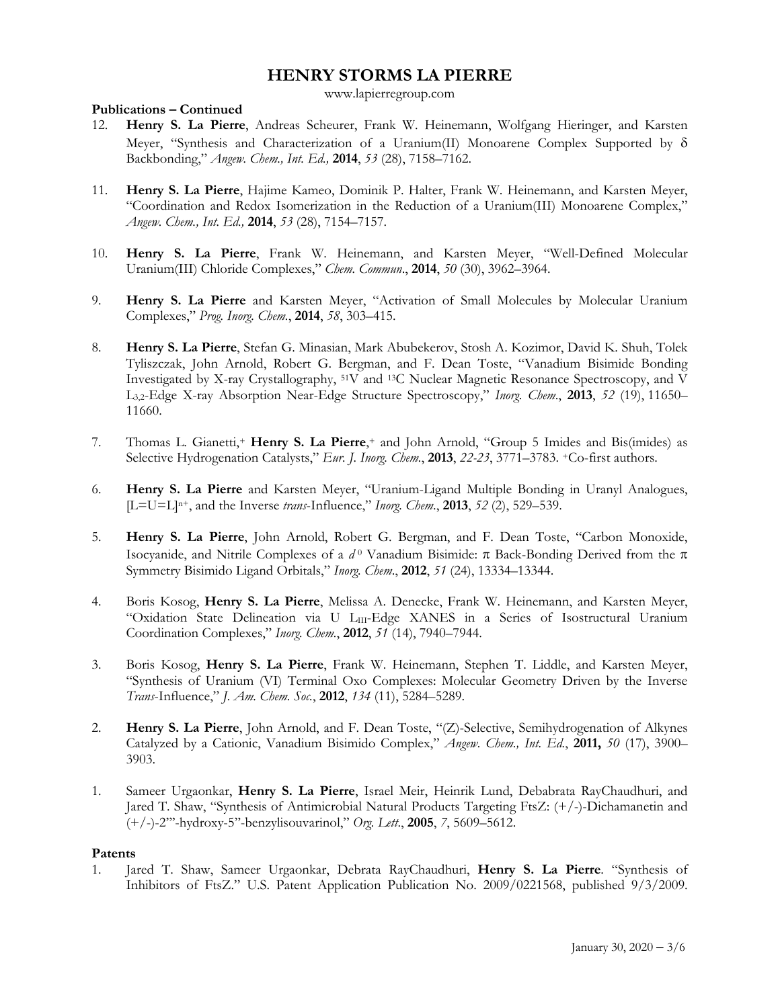www.lapierregroup.com

### **Publications – Continued**

- 12. **Henry S. La Pierre**, Andreas Scheurer, Frank W. Heinemann, Wolfgang Hieringer, and Karsten Meyer, "Synthesis and Characterization of a Uranium(II) Monoarene Complex Supported by  $\delta$ Backbonding," *Angew. Chem., Int. Ed.,* **2014**, *53* (28), 7158–7162.
- 11. **Henry S. La Pierre**, Hajime Kameo, Dominik P. Halter, Frank W. Heinemann, and Karsten Meyer, "Coordination and Redox Isomerization in the Reduction of a Uranium(III) Monoarene Complex," *Angew. Chem., Int. Ed.,* **2014**, *53* (28), 7154–7157.
- 10. **Henry S. La Pierre**, Frank W. Heinemann, and Karsten Meyer, "Well-Defined Molecular Uranium(III) Chloride Complexes," *Chem. Commun*., **2014**, *50* (30), 3962–3964.
- 9. **Henry S. La Pierre** and Karsten Meyer, "Activation of Small Molecules by Molecular Uranium Complexes," *Prog. Inorg. Chem.*, **2014**, *58*, 303–415.
- 8. **Henry S. La Pierre**, Stefan G. Minasian, Mark Abubekerov, Stosh A. Kozimor, David K. Shuh, Tolek Tyliszczak, John Arnold, Robert G. Bergman, and F. Dean Toste, "Vanadium Bisimide Bonding Investigated by X-ray Crystallography, 51V and 13C Nuclear Magnetic Resonance Spectroscopy, and V L3,2-Edge X-ray Absorption Near-Edge Structure Spectroscopy," *Inorg. Chem*., **2013**, *52* (19), 11650– 11660.
- 7. Thomas L. Gianetti,+ **Henry S. La Pierre**,+ and John Arnold, "Group 5 Imides and Bis(imides) as Selective Hydrogenation Catalysts," *Eur. J. Inorg. Chem.*, **2013**, *22-23*, 3771–3783. +Co-first authors.
- 6. **Henry S. La Pierre** and Karsten Meyer, "Uranium-Ligand Multiple Bonding in Uranyl Analogues, [L=U=L]n+, and the Inverse *trans*-Influence," *Inorg. Chem*., **2013**, *52* (2), 529–539.
- 5. **Henry S. La Pierre**, John Arnold, Robert G. Bergman, and F. Dean Toste, "Carbon Monoxide, Isocyanide, and Nitrile Complexes of a  $d^0$  Vanadium Bisimide:  $\pi$  Back-Bonding Derived from the  $\pi$ Symmetry Bisimido Ligand Orbitals," *Inorg. Chem*., **2012**, *51* (24), 13334–13344.
- 4. Boris Kosog, **Henry S. La Pierre**, Melissa A. Denecke, Frank W. Heinemann, and Karsten Meyer, "Oxidation State Delineation via U LIII-Edge XANES in a Series of Isostructural Uranium Coordination Complexes," *Inorg. Chem.*, **2012**, *51* (14), 7940–7944.
- 3. Boris Kosog, **Henry S. La Pierre**, Frank W. Heinemann, Stephen T. Liddle, and Karsten Meyer, "Synthesis of Uranium (VI) Terminal Oxo Complexes: Molecular Geometry Driven by the Inverse *Trans*-Influence," *J. Am. Chem. Soc.*, **2012**, *134* (11), 5284–5289.
- 2. **Henry S. La Pierre**, John Arnold, and F. Dean Toste, "(Z)-Selective, Semihydrogenation of Alkynes Catalyzed by a Cationic, Vanadium Bisimido Complex," *Angew. Chem., Int. Ed.*, **2011,** *50* (17), 3900– 3903.
- 1. Sameer Urgaonkar, **Henry S. La Pierre**, Israel Meir, Heinrik Lund, Debabrata RayChaudhuri, and Jared T. Shaw, "Synthesis of Antimicrobial Natural Products Targeting FtsZ: (+/-)-Dichamanetin and (+/-)-2'''-hydroxy-5''-benzylisouvarinol," *Org. Lett*., **2005**, *7*, 5609–5612.

#### **Patents**

1. Jared T. Shaw, Sameer Urgaonkar, Debrata RayChaudhuri, **Henry S. La Pierre**. "Synthesis of Inhibitors of FtsZ." U.S. Patent Application Publication No. 2009/0221568, published 9/3/2009.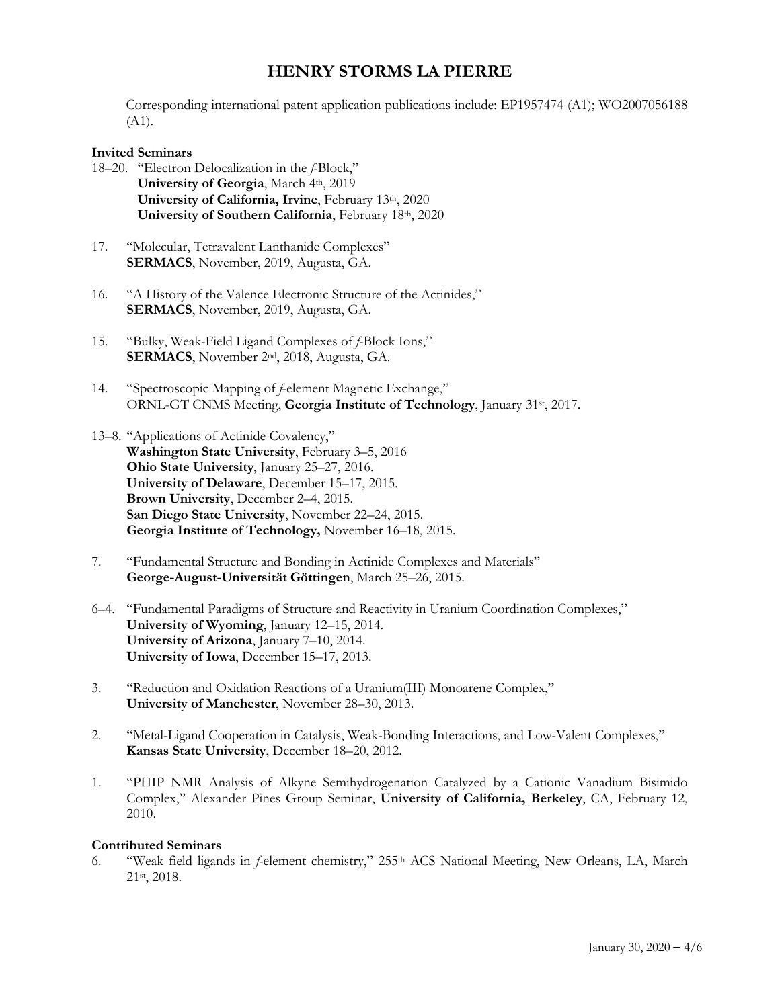Corresponding international patent application publications include: EP1957474 (A1); WO2007056188  $(A1)$ .

#### **Invited Seminars**

- 18–20. "Electron Delocalization in the *f*-Block," **University of Georgia**, March 4th, 2019 University of California, Irvine, February 13th, 2020 **University of Southern California**, February 18th, 2020
- 17. "Molecular, Tetravalent Lanthanide Complexes" **SERMACS**, November, 2019, Augusta, GA.
- 16. "A History of the Valence Electronic Structure of the Actinides," **SERMACS**, November, 2019, Augusta, GA.
- 15. "Bulky, Weak-Field Ligand Complexes of *f*-Block Ions," **SERMACS**, November 2nd, 2018, Augusta, GA.
- 14. "Spectroscopic Mapping of *f*-element Magnetic Exchange," ORNL-GT CNMS Meeting, **Georgia Institute of Technology**, January 31st, 2017.
- 13–8. "Applications of Actinide Covalency," **Washington State University**, February 3–5, 2016 **Ohio State University**, January 25–27, 2016. **University of Delaware**, December 15–17, 2015. **Brown University**, December 2–4, 2015. **San Diego State University**, November 22–24, 2015. **Georgia Institute of Technology,** November 16–18, 2015.
- 7. "Fundamental Structure and Bonding in Actinide Complexes and Materials" **George-August-Universität Göttingen**, March 25–26, 2015.
- 6–4. "Fundamental Paradigms of Structure and Reactivity in Uranium Coordination Complexes," **University of Wyoming**, January 12–15, 2014. **University of Arizona**, January 7–10, 2014. **University of Iowa**, December 15–17, 2013.
- 3. "Reduction and Oxidation Reactions of a Uranium(III) Monoarene Complex," **University of Manchester**, November 28–30, 2013.
- 2. "Metal-Ligand Cooperation in Catalysis, Weak-Bonding Interactions, and Low-Valent Complexes," **Kansas State University**, December 18–20, 2012.
- 1. "PHIP NMR Analysis of Alkyne Semihydrogenation Catalyzed by a Cationic Vanadium Bisimido Complex," Alexander Pines Group Seminar, **University of California, Berkeley**, CA, February 12, 2010.

#### **Contributed Seminars**

6. "Weak field ligands in *f*-element chemistry," 255th ACS National Meeting, New Orleans, LA, March 21st, 2018.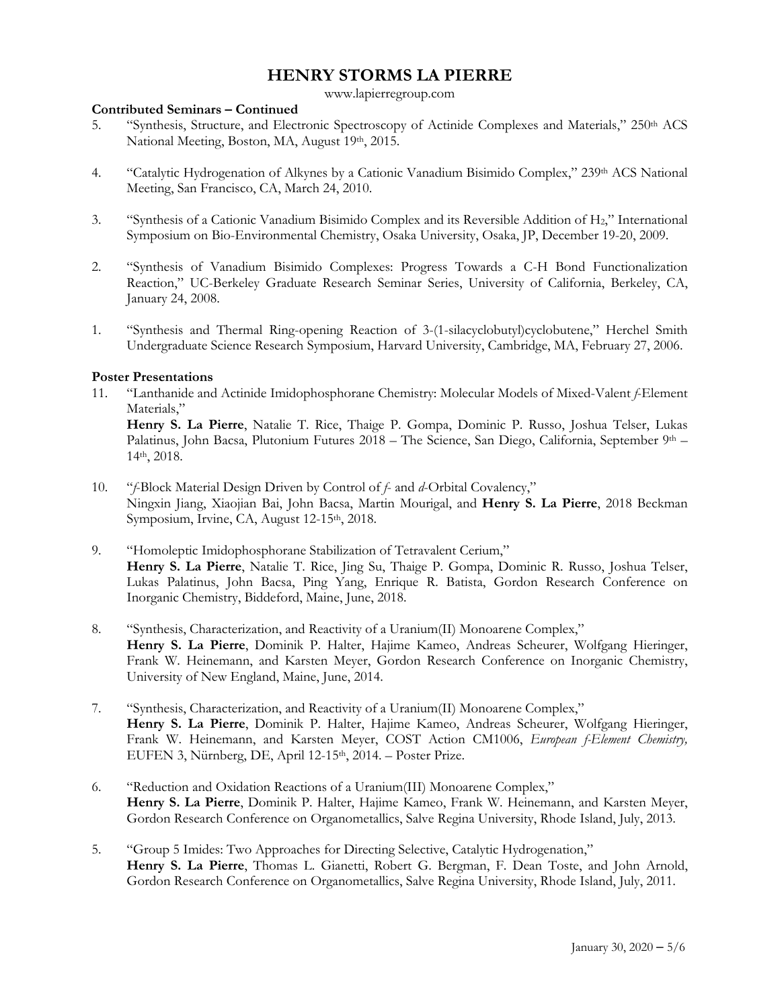www.lapierregroup.com

### **Contributed Seminars – Continued**

- 5. "Synthesis, Structure, and Electronic Spectroscopy of Actinide Complexes and Materials," 250th ACS National Meeting, Boston, MA, August 19th, 2015.
- 4. "Catalytic Hydrogenation of Alkynes by a Cationic Vanadium Bisimido Complex," 239th ACS National Meeting, San Francisco, CA, March 24, 2010.
- 3. "Synthesis of a Cationic Vanadium Bisimido Complex and its Reversible Addition of H2," International Symposium on Bio-Environmental Chemistry, Osaka University, Osaka, JP, December 19-20, 2009.
- 2. "Synthesis of Vanadium Bisimido Complexes: Progress Towards a C-H Bond Functionalization Reaction," UC-Berkeley Graduate Research Seminar Series, University of California, Berkeley, CA, January 24, 2008.
- 1. "Synthesis and Thermal Ring-opening Reaction of 3-(1-silacyclobutyl)cyclobutene," Herchel Smith Undergraduate Science Research Symposium, Harvard University, Cambridge, MA, February 27, 2006.

### **Poster Presentations**

11. "Lanthanide and Actinide Imidophosphorane Chemistry: Molecular Models of Mixed-Valent *f*-Element Materials,"

**Henry S. La Pierre**, Natalie T. Rice, Thaige P. Gompa, Dominic P. Russo, Joshua Telser, Lukas Palatinus, John Bacsa, Plutonium Futures 2018 – The Science, San Diego, California, September 9th – 14th, 2018.

- 10. "*f*-Block Material Design Driven by Control of *f* and *d*-Orbital Covalency," Ningxin Jiang, Xiaojian Bai, John Bacsa, Martin Mourigal, and **Henry S. La Pierre**, 2018 Beckman Symposium, Irvine, CA, August 12-15th, 2018.
- 9. "Homoleptic Imidophosphorane Stabilization of Tetravalent Cerium," **Henry S. La Pierre**, Natalie T. Rice, Jing Su, Thaige P. Gompa, Dominic R. Russo, Joshua Telser, Lukas Palatinus, John Bacsa, Ping Yang, Enrique R. Batista, Gordon Research Conference on Inorganic Chemistry, Biddeford, Maine, June, 2018.
- 8. "Synthesis, Characterization, and Reactivity of a Uranium(II) Monoarene Complex," **Henry S. La Pierre**, Dominik P. Halter, Hajime Kameo, Andreas Scheurer, Wolfgang Hieringer, Frank W. Heinemann, and Karsten Meyer, Gordon Research Conference on Inorganic Chemistry, University of New England, Maine, June, 2014.
- 7. "Synthesis, Characterization, and Reactivity of a Uranium(II) Monoarene Complex," **Henry S. La Pierre**, Dominik P. Halter, Hajime Kameo, Andreas Scheurer, Wolfgang Hieringer, Frank W. Heinemann, and Karsten Meyer, COST Action CM1006, *European f-Element Chemistry,* EUFEN 3, Nürnberg, DE, April 12-15<sup>th</sup>, 2014. – Poster Prize.
- 6. "Reduction and Oxidation Reactions of a Uranium(III) Monoarene Complex," **Henry S. La Pierre**, Dominik P. Halter, Hajime Kameo, Frank W. Heinemann, and Karsten Meyer, Gordon Research Conference on Organometallics, Salve Regina University, Rhode Island, July, 2013.
- 5. "Group 5 Imides: Two Approaches for Directing Selective, Catalytic Hydrogenation," **Henry S. La Pierre**, Thomas L. Gianetti, Robert G. Bergman, F. Dean Toste, and John Arnold, Gordon Research Conference on Organometallics, Salve Regina University, Rhode Island, July, 2011.